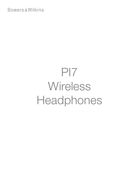# **Bowers & Wilkins**

# PI7 **Wireless** Headphones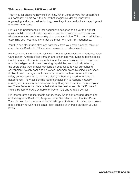# Welcome to Bowers & Wilkins and PI7

Thank you for choosing Bowers & Wilkins. When John Bowers first established our company, he did so in the belief that imaginative design, innovative engineering and advanced technology were keys that could unlock the enjoyment of audio in the home.

PI7 is a high performance in-ear headphone designed to deliver the highest quality mobile personal audio experience combined with the convenience of wireless operation and the serenity of noise-cancellation. This manual will tell you everything you need to know to get the most from your PI7 headphones.

Your PI7 can play music streamed wirelessly from your mobile phone, tablet or computer via Bluetooth. PI7 can also be used for wireless telephony.

PI7 Real World Listening features include our latest innovations in Adaptive Noise Cancellation, Ambient Pass-Through and enhanced Wear Sensing technologies. Our latest generation noise cancellation feature was designed from the ground up with intelligent environment sensing capabilities, automatically selecting the appropriate type of noise cancellation best suited to your surrounding environment, its only goal is to deliver an uncompromised listening experience. Ambient Pass-Through enables external sounds, such as conversation or safety announcements, to be heard clearly without any need to remove the headphones. The Wear Sensing feature enables PI7 to respond naturally, pausing and resuming the music simply by lifting either earpiece on or off your ear. These features can be enabled and further customised via the Bowers & Wilkins Headphone App available for free on iOS and Android devices.

PI7 incorporates a rechargeable battery case. When fully charged, depending on the degree of Bluetooth, Adaptive Noise Cancellation and Ambient Pass-Through use, the battery case can provide up to 20 hours of continuous wireless media streaming with noise cancellation enabled at average playback volume levels.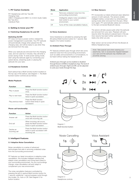# 1. PI7 Carton Contents

PI7 Headphones with Ear Tips (M) Charging Case USB-C Charging and USB-C to 3.5mm Audio Cable Ear Tips (S/L) Literature Pack

# 2. Getting to know your PI7

# 2.1 Switching Headphones On and Off

# Switching On/Off

PI7 does not have a power control, instead the power management is automatic. Your PI7 earbuds will automatically charge when placed into the charging case, and will be ready to use when they are removed from the case.

When your earbuds are removed from the charging case, and not used for 5 minutes, they will enter a power saving mode. To exist power saving mode, start using the earbuds again by connecting your paired device, streaming audio or placing the earbuds into your ears.

# 2.2 Headphone Controls

Each earbud has a Multi-function button located on the top cap of the earbud, see Diagram 1. The Multifunction button controls are as follows:

# Media Playback:

| <b>Function</b>     | Action                                                                 |
|---------------------|------------------------------------------------------------------------|
| Play or pause       | Press the Multi-function button<br>once.                               |
| Play to next track  | Press the Multi-function button<br>twice in quick succession.          |
| Play previous track | Press the Multi-function<br>button three times in quick<br>succession. |

#### Phone call functionality:

| <b>Function</b>             | Action                                                                                      |
|-----------------------------|---------------------------------------------------------------------------------------------|
| Answer call                 | Press the Multi-function button<br>once with incoming call.                                 |
| End call                    | When incoming call occurs,<br>press the Multi-function button<br>twice in quick succession. |
| Decline an<br>incoming call | Press the Multi-function button<br>twice in quick succession with<br>incoming call.         |

# 3. Intelligent Features

# 3.1 Adaptive Noise Cancellation

Noise cancellation is a series of advanced technologies that aids in removing undesired noise from the surrounding environment.

PI7 features our latest innovations in adaptive noise cancellation, this includes intelligent sensing that adapts noise cancellation and tuning best suited to your surrounding environment. As your surroundings change, noise cancellation will auto adapt to complement your new environment.

The noise cancellation features is activated by pressing the left (L) earbud Multi-function button for 1 second, additional 1 second presses cycle through the modes: On, Auto or Off. See Diagram 2 for button location.

|  | Mode | Application                                                                            |
|--|------|----------------------------------------------------------------------------------------|
|  | Ωn   | Removes undesired noise from the<br>surrounding environment.                           |
|  | Auto | Intelligently adapts noise cancellation<br>best suited to your current<br>environment. |
|  |      | Turns off the noise cancellation feature.                                              |
|  |      |                                                                                        |

## 3.2 Voice Assistance

Voice Assistance is activated by pressing the right (R) earbud Multi-function button for 1 second. See Digram 2 for button location.

## 3.3 Ambient Pass-Through

PI7 features ambient pass-through which lets some external noise from the surrounding environment, such as safety announcements or conversations, to be heard without taking the headphones off.

Ambient pass-through can be enabled or disabled through Bowers & Wilkins headphone App. The level of ambient pass-through, High/Low/Off, can be adjusted to suite your needs through the App.

#### 3.4 Wear Sensors

PI7 incorporate our latest enhanced wear detection sensors in both earbuds. The sensors enable intelligent battery conservation by entering power saving mode when removed from the ears. When worn again, PI7 automatically wakes and connects to the last connected Bluetooth device.

The senors will also pause audio when the earbuds are removed from your ears. Playback will auto resume when the earbud is placed back in the ear. Auto resume has been further optimised so it is ready only when you are.

Wear sensor can be turned off from the Bowers & Wilkins Headphone App.

Note: Take special care when wearing your earphones, hair or accessories trapped between your ears and the earbuds may interfere with proximity sensing.



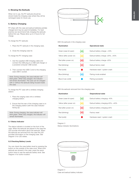# 4. Stowing the Earbuds

When not in use, the PI7 earbuds should be stored inside the charging case where they will be recharged ready for future use.

# 5. Battery Charging

PI7 ships with the case and earbud batteries partially charged and may be used immediately. For best practice we recommend fully charging the earbuds before first use. Please allow up to 3 hours for full charge.

To charge the PI7 earbuds:

- 1. Place the PI7 earbuds in the charging case.
- 2. Close the charging case lid.

To charge the PI7 charging case:

- 1. Use the supplied USB charging cable and connect the USB plug to a USB wall charger or a powered computer USB socket.
- 2. Then connect the USB-C end to the charging case USB-C socket.

Note: During charging, the case indicator will blink green. When fully charged, the indicator will remain illuminated. The case can be charged with or without the earbuds being housed inside the case.

To charge the PI7 case with a wireless charging station:

- 1. Place the carging case onto a wireless charging station.
- 2. Ensure that the rear of the charging case is on the charging station (with the case indicator facing up).

Note: During charging, the case indicator will blink green. When fully charged, the indicator will remain illuminated.

#### 5.1 Status Indicator

The status indicator is located on the front of the case. When the earbuds are placed in the case the LED provide information about the earbuds. When the earbuds are removed from the case the LED provides information on the charging case. See Diagram 3 for LED states.

# 5.2 Checking Battery Levels

You can check the case battery level by pressing the button on the outside of the case once. When both earbuds are stowed in the case, press the same button twice to see the earbuds battery level. See Diagram 4 for button location.



With the earbuds in the charging case

| <b>Illumination</b>     |                          | <b>Operational state</b>         |
|-------------------------|--------------------------|----------------------------------|
| Green (case lid open)   | ⊰∙⊱                      | Earbud battery charge $> 40\%$   |
| Yellow (after power on) | $\Rightarrow \leftarrow$ | Earbud battery charge >20%, <40% |
| Red (after power on)    | ⋚∙⋛                      | Earbud battery charge <20%       |
| Red (blinking)          | }∙⊱                      | Earbud factory reset             |
| Red (solid)             |                          | Hardware reset / system crash    |
| Blue (blinking)         | io —                     | Pairing mode enabled             |
| Blue (3 sec solid)      |                          | Pairing successful               |

With the earbuds removed from the charging case

| <b>Illumination</b>     |                 | <b>Owperational state</b>         |
|-------------------------|-----------------|-----------------------------------|
| Green (case lid open)   | $\Rightarrow -$ | Earbud battery charging > 40%     |
| Yellow (after power on) | ⊰<              | Earbud battery charging>20%, <40% |
| Red (after power on)    | $\geq$          | Earbud battery charging<20%       |
| Red (blinking)          | $\div$          | Factory reset                     |
| Red (solid)             |                 | Hardware reset / system crash     |
|                         |                 |                                   |

Diagram 3 Status indicator illuminations



Diagram 4 Case and earbud battery indicator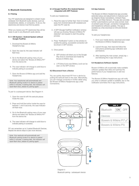# 6. Bluetooth Connectivity

#### 6.1 Pairing

Your PI7 earphones are designed to stream music wirelessly from Bluetooth audio devices, such as smartphones, tablets, or computers. To do so, the earphones and device must first be paired.

When you receive your PI7 earphones they will be ready to pair to any Bluetooth audio device.

# 6.1.1 iOS System / Android System without Google FastPair.

- 1. Download the Bowers & Wilkins Headphone App.
- 2. Open the case lid, the case indicator will flash blue.
- 4. Go to the Bluetooth pairing menu of your device and select the "Bowers & Wilkins PI7" from the device list.
- 6. The case indicator will change to solid blue to indicate pairing is successful.
- 7. Open the Bowers & Wilkins app and add the headphones.

Note: Your earphones will automatically exit Bluetooth pairing mode if no device is paired within 5 minutes. If pairing fails, the indicator will rapid flash blue, please try pairing again.

To pair to a subsequent device. See Diagram 4:

- 1. Open the case lid with the earbuds places inside the case.
- 2. Press and hold the button inside the case for between 1 and 5 seconds, the case indicator will flash blue.
- 4. Go to the Bluetooth pairing menu of your new device and select the "Bowers & Wilkins PI7" from the device list.
- 6. The case indicator will change to solid blue to indicate pairing is sucessful.

PI7 can remember up to 3 paired Bluetooth Devices. Repeat the above steps to pair more devices.

Note: Your earbuds will automatically exit Bluetooth pairing mode if no device is paired within 5 minutes. If pairing fails, the indicator will rapid flash blue, please try pairing again.

#### 6.1.2 Google FastPair (For Android System integrated with GFP Feature)

To add your headphones:

- 1. Place the case no further than 10cm (4 inches) away from Android device (BT enabled) and open the PI7 case lid.
- 2. A GFP (Google FastPair) notification window will pop up showing "Bowers & Wilkins PI7 detected" and request to start the pairing process.
- 3. Press "Notification" button on the window to enable the pairing, successfull connection will be shown in GFP window.
- 5. Once paired:
	- o GFP window will direct you to the Google Play store to download and Install the Bowers & Wilklins App.
	- o L/R Earbud and case Battery Level can be seen on the GFP window

# 6.2 Disconnect from a Device

You can quickly disconnect PI7 from a device by putting the earbuds back to the case. Alternatively, you can manage connection in further detail using the Bowers & Wilkins Headphones app under Connections.

#### 6.3 App features

The Bowers & Wilkins Headphones app provides extended setup and adjustments to features such as Adaptive Noise Cancellation, Ambient Pass-Through, and Wear Sensors. The app also provides further customisations such as voice prompt, level of ambient pass-through, connection management, and headphone software updates. The app is available as a free download on iOS and Android devices.

To add your headphones:

- 1. From your mobile device, download and install the Bowers & Wilkins Headphones app.
- 2. Launch the app, then read and follow the instructions pertaining app notification and permissions.
- 3. After reaching the main screen, simply tap + and following the in-app instructions.

# 6.4 Headphone Software Update

Bowers & Wilkins will occasionally make available software updates that refine and optimise the performance of your headphones or add new features.

The Bowers & Wilkins Headphones app will notify you when a software update is available, tap on the notification and follow the in-app instructions.







Diagram 4 Bluetooth pairing - subsequent device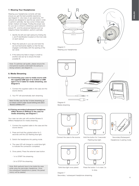# 7. Wearing Your Headphones

Wearing your headphones correctly will help ensure you get the best possible experience, see Diagram 5. Like many in-ear earphones, PI7 earbuds are designed to seal the ear canal in order to perform optimally. Ear tips come in three sizes (small, medium and large). Finding the proper size for your ear is critical to obtaining a good seal and ensure PI7, and the advanced features such as Adaptive Noise Cancellation, perform optimally.

- 1. Identify the left and right earbud by finding the L and R identification located on the inner side on each earbud.
- 2. Place the earbuds in your ear and twist the ear bud backwards slightly so that the tips engages comfortably with the opening of the ear canal.
- 3. If the earbud tip feels to large or small try another size ear tip to ensure the best possible fit.

Note: To optimise call quality, please ensure the microphone located underneath the earbud is facing outward, see Diagram 5.

# 8. Media Streaming

- 8.1 Connecting your case to media source with the supplied USB type-C-to-3.5mm or USB type-C-to-C Cable for media streaming, see Diagram 6.
	- 1. Connect the supplied cable to the case and the source device.
	- 2. Your PI7 will automatically start streaming.

Note: For Mac user, for the 1st time streaming, go to output control under Sound Setting and select "Bowers & Wilkins PI7"

#### 8.2 Pairing secondary/subsequent headphone (ONLY Bowers & Wilkins) to the case for media streaming, see Diagram 7.

Your case can also pair with another Bowers & Wilkins Headphone for media streaming

- 1. Connect the supplied cable to the case and the source device.
- 2. Press and hold the outside button for 3 seconds until the LED flashing blue light.
- 3. Switch the headphone into pairing mode.
- 4. The case LED will change to a solid blue light to indicate the connection completed.
- 5. Once paired, Press the external case button:
	- 1x to START the streaming
	- 2x to STOP the streaming

Note: Both earbuds have to be inside the case while using the secondary headphone. Once the subsequent headphone is paired, the paired history will be deleted.



Wearing your headphones





Diagram 6 Media streaming



Connect the case to the source.



 $\overline{2}$ 

Hold the button for 3 seconds/ Flashing blue light.



Press the button 1x to start, 2x to stop.



Secondary/Subsequent Headphone in pairing mode.





Diagram 7 Secondary / subsequent headphone streaming